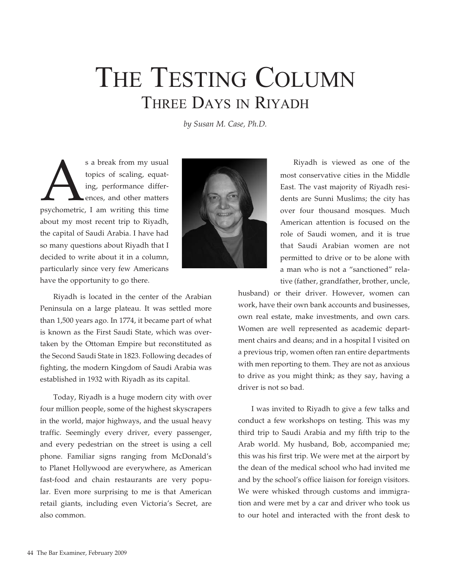## THE TESTING COLUMN Three Days in Riyadh

*by Susan M. Case, Ph.D.*

s a break from my usual<br>topics of scaling, equat-<br>ing, performance differ-<br>ences, and other matters<br>psychometric, I am writing this time topics of scaling, equating, performance differences, and other matters about my most recent trip to Riyadh, the capital of Saudi Arabia. I have had so many questions about Riyadh that I decided to write about it in a column, particularly since very few Americans have the opportunity to go there.

Riyadh is located in the center of the Arabian Peninsula on a large plateau. It was settled more than 1,500 years ago. In 1774, it became part of what is known as the First Saudi State, which was overtaken by the Ottoman Empire but reconstituted as the Second Saudi State in 1823. Following decades of fighting, the modern Kingdom of Saudi Arabia was established in 1932 with Riyadh as its capital.

Today, Riyadh is a huge modern city with over four million people, some of the highest skyscrapers in the world, major highways, and the usual heavy traffic. Seemingly every driver, every passenger, and every pedestrian on the street is using a cell phone. Familiar signs ranging from McDonald's to Planet Hollywood are everywhere, as American fast-food and chain restaurants are very popular. Even more surprising to me is that American retail giants, including even Victoria's Secret, are also common.



Riyadh is viewed as one of the most conservative cities in the Middle East. The vast majority of Riyadh residents are Sunni Muslims; the city has over four thousand mosques. Much American attention is focused on the role of Saudi women, and it is true that Saudi Arabian women are not permitted to drive or to be alone with a man who is not a "sanctioned" relative (father, grandfather, brother, uncle,

husband) or their driver. However, women can work, have their own bank accounts and businesses, own real estate, make investments, and own cars. Women are well represented as academic department chairs and deans; and in a hospital I visited on a previous trip, women often ran entire departments with men reporting to them. They are not as anxious to drive as you might think; as they say, having a driver is not so bad.

I was invited to Riyadh to give a few talks and conduct a few workshops on testing. This was my third trip to Saudi Arabia and my fifth trip to the Arab world. My husband, Bob, accompanied me; this was his first trip. We were met at the airport by the dean of the medical school who had invited me and by the school's office liaison for foreign visitors. We were whisked through customs and immigration and were met by a car and driver who took us to our hotel and interacted with the front desk to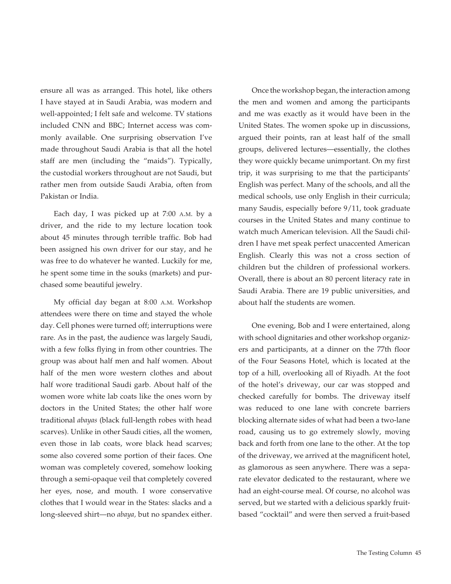ensure all was as arranged. This hotel, like others I have stayed at in Saudi Arabia, was modern and well-appointed; I felt safe and welcome. TV stations included CNN and BBC; Internet access was commonly available. One surprising observation I've made throughout Saudi Arabia is that all the hotel staff are men (including the "maids"). Typically, the custodial workers throughout are not Saudi, but rather men from outside Saudi Arabia, often from Pakistan or India.

Each day, I was picked up at 7:00 a.m. by a driver, and the ride to my lecture location took about 45 minutes through terrible traffic. Bob had been assigned his own driver for our stay, and he was free to do whatever he wanted. Luckily for me, he spent some time in the souks (markets) and purchased some beautiful jewelry.

My official day began at 8:00 a.m. Workshop attendees were there on time and stayed the whole day. Cell phones were turned off; interruptions were rare. As in the past, the audience was largely Saudi, with a few folks flying in from other countries. The group was about half men and half women. About half of the men wore western clothes and about half wore traditional Saudi garb. About half of the women wore white lab coats like the ones worn by doctors in the United States; the other half wore traditional *abayas* (black full-length robes with head scarves). Unlike in other Saudi cities, all the women, even those in lab coats, wore black head scarves; some also covered some portion of their faces. One woman was completely covered, somehow looking through a semi-opaque veil that completely covered her eyes, nose, and mouth. I wore conservative clothes that I would wear in the States: slacks and a long-sleeved shirt—no *abaya,* but no spandex either.

Once the workshop began, the interaction among the men and women and among the participants and me was exactly as it would have been in the United States. The women spoke up in discussions, argued their points, ran at least half of the small groups, delivered lectures—essentially, the clothes they wore quickly became unimportant. On my first trip, it was surprising to me that the participants' English was perfect. Many of the schools, and all the medical schools, use only English in their curricula; many Saudis, especially before 9/11, took graduate courses in the United States and many continue to watch much American television. All the Saudi children I have met speak perfect unaccented American English. Clearly this was not a cross section of children but the children of professional workers. Overall, there is about an 80 percent literacy rate in Saudi Arabia. There are 19 public universities, and about half the students are women.

One evening, Bob and I were entertained, along with school dignitaries and other workshop organizers and participants, at a dinner on the 77th floor of the Four Seasons Hotel, which is located at the top of a hill, overlooking all of Riyadh. At the foot of the hotel's driveway, our car was stopped and checked carefully for bombs. The driveway itself was reduced to one lane with concrete barriers blocking alternate sides of what had been a two-lane road, causing us to go extremely slowly, moving back and forth from one lane to the other. At the top of the driveway, we arrived at the magnificent hotel, as glamorous as seen anywhere. There was a separate elevator dedicated to the restaurant, where we had an eight-course meal. Of course, no alcohol was served, but we started with a delicious sparkly fruitbased "cocktail" and were then served a fruit-based